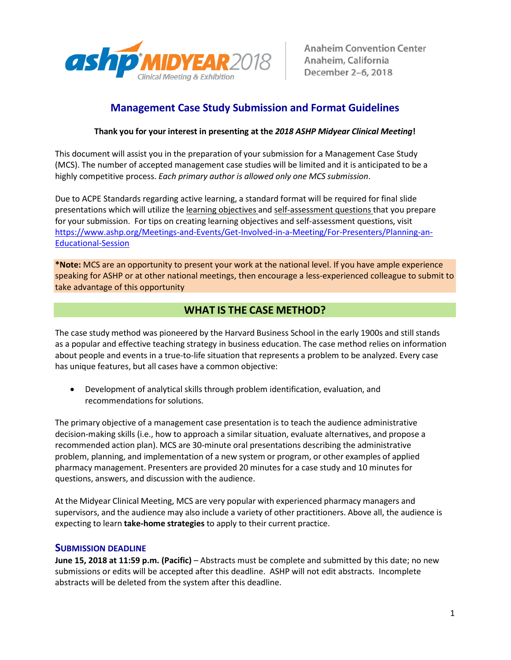

# **Management Case Study Submission and Format Guidelines**

## **Thank you for your interest in presenting at the** *2018 ASHP Midyear Clinical Meeting***!**

This document will assist you in the preparation of your submission for a Management Case Study (MCS). The number of accepted management case studies will be limited and it is anticipated to be a highly competitive process. *Each primary author is allowed only one MCS submission*.

Due to ACPE Standards regarding active learning, a standard format will be required for final slide presentations which will utilize the learning objectives and self-assessment questions that you prepare for your submission. For tips on creating learning objectives and self-assessment questions, visit [https://www.ashp.org/Meetings-and-Events/Get-Involved-in-a-Meeting/For-Presenters/Planning-an-](https://www.ashp.org/Meetings-and-Events/Get-Involved-in-a-Meeting/For-Presenters/Planning-an-Educational-Session)[Educational-Session](https://www.ashp.org/Meetings-and-Events/Get-Involved-in-a-Meeting/For-Presenters/Planning-an-Educational-Session)

**\*Note:** MCS are an opportunity to present your work at the national level. If you have ample experience speaking for ASHP or at other national meetings, then encourage a less-experienced colleague to submit to take advantage of this opportunity

# **WHAT IS THE CASE METHOD?**

The case study method was pioneered by the Harvard Business School in the early 1900s and still stands as a popular and effective teaching strategy in business education. The case method relies on information about people and events in a true‐to‐life situation that represents a problem to be analyzed. Every case has unique features, but all cases have a common objective:

• Development of analytical skills through problem identification, evaluation, and recommendations for solutions.

The primary objective of a management case presentation is to teach the audience administrative decision‐making skills (i.e., how to approach a similar situation, evaluate alternatives, and propose a recommended action plan). MCS are 30‐minute oral presentations describing the administrative problem, planning, and implementation of a new system or program, or other examples of applied pharmacy management. Presenters are provided 20 minutes for a case study and 10 minutes for questions, answers, and discussion with the audience.

At the Midyear Clinical Meeting, MCS are very popular with experienced pharmacy managers and supervisors, and the audience may also include a variety of other practitioners. Above all, the audience is expecting to learn **take‐home strategies** to apply to their current practice.

### **SUBMISSION DEADLINE**

**June 15, 2018 at 11:59 p.m. (Pacific)** – Abstracts must be complete and submitted by this date; no new submissions or edits will be accepted after this deadline. ASHP will not edit abstracts. Incomplete abstracts will be deleted from the system after this deadline.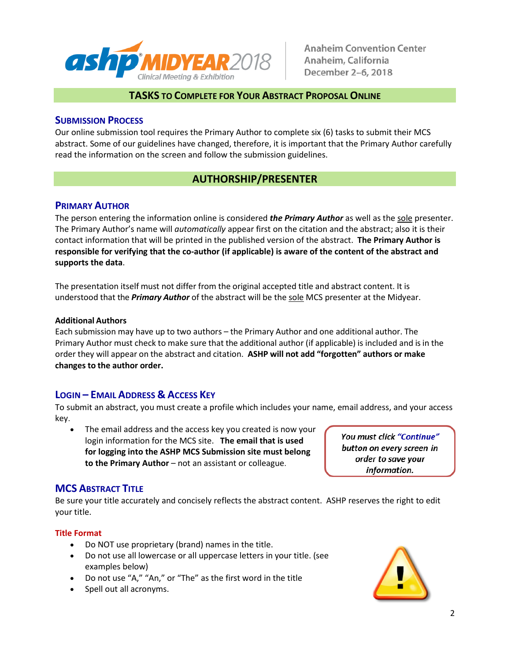

## **TASKS TO COMPLETE FOR YOUR ABSTRACT PROPOSAL ONLINE**

## **SUBMISSION PROCESS**

Our online submission tool requires the Primary Author to complete six (6) tasks to submit their MCS abstract. Some of our guidelines have changed, therefore, it is important that the Primary Author carefully read the information on the screen and follow the submission guidelines.

# **AUTHORSHIP/PRESENTER**

### **PRIMARY AUTHOR**

The person entering the information online is considered *the Primary Author* as well as the sole presenter. The Primary Author's name will *automatically* appear first on the citation and the abstract; also it is their contact information that will be printed in the published version of the abstract. **The Primary Author is responsible for verifying that the co-author (if applicable) is aware of the content of the abstract and supports the data**.

The presentation itself must not differ from the original accepted title and abstract content. It is understood that the *Primary Author* of the abstract will be the sole MCS presenter at the Midyear.

#### **Additional Authors**

Each submission may have up to two authors – the Primary Author and one additional author. The Primary Author must check to make sure that the additional author (if applicable) is included and isin the order they will appear on the abstract and citation. **ASHP will not add "forgotten" authors or make changes to the author order.**

# **LOGIN – EMAIL ADDRESS & ACCESS KEY**

To submit an abstract, you must create a profile which includes your name, email address, and your access key.

The email address and the access key you created is now your login information for the MCS site. **The email that is used for logging into the ASHP MCS Submission site must belong to the Primary Author** – not an assistant or colleague.

You must click "Continue" button on every screen in order to save your information.

# **MCS ABSTRACT TITLE**

Be sure your title accurately and concisely reflects the abstract content. ASHP reserves the right to edit your title.

### **Title Format**

- Do NOT use proprietary (brand) names in the title.
- Do not use all lowercase or all uppercase letters in your title. (see examples below)
- Do not use "A," "An," or "The" as the first word in the title
- Spell out all acronyms.

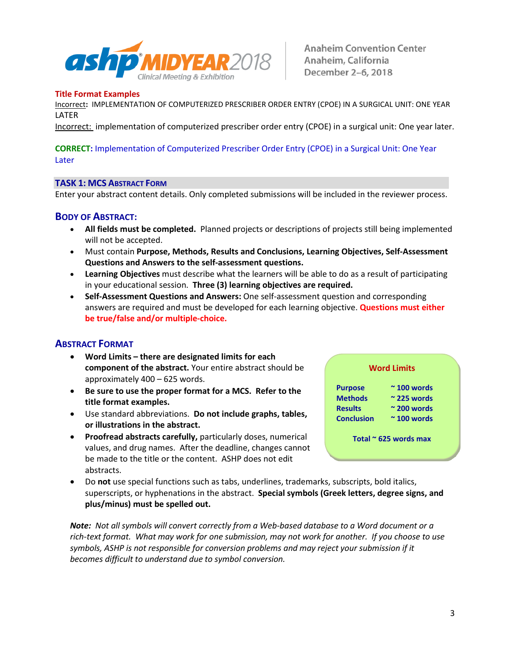

### **Title Format Examples**

Incorrect**:** IMPLEMENTATION OF COMPUTERIZED PRESCRIBER ORDER ENTRY (CPOE) IN A SURGICAL UNIT: ONE YEAR LATER

Incorrect: implementation of computerized prescriber order entry (CPOE) in a surgical unit: One year later.

### **CORRECT:** Implementation of Computerized Prescriber Order Entry (CPOE) in a Surgical Unit: One Year Later

### **TASK 1: MCS ABSTRACT FORM**

Enter your abstract content details. Only completed submissions will be included in the reviewer process.

### **BODY OF ABSTRACT:**

- **All fields must be completed.** Planned projects or descriptions of projects still being implemented will not be accepted.
- Must contain **Purpose, Methods, Results and Conclusions, Learning Objectives, Self-Assessment Questions and Answers to the self-assessment questions.**
- **Learning Objectives** must describe what the learners will be able to do as a result of participating in your educational session. **Three (3) learning objectives are required.**
- **Self-Assessment Questions and Answers:** One self-assessment question and corresponding answers are required and must be developed for each learning objective. **Questions must either be true/false and/or multiple-choice.**

### **ABSTRACT FORMAT**

- **Word Limits – there are designated limits for each component of the abstract.** Your entire abstract should be approximately 400 – 625 words.
- **Be sure to use the proper format for a MCS. Refer to the title format examples.**
- Use standard abbreviations. **Do not include graphs, tables, or illustrations in the abstract.**
- **Proofread abstracts carefully,** particularly doses, numerical values, and drug names. After the deadline, changes cannot be made to the title or the content. ASHP does not edit abstracts.
- Do **not** use special functions such as tabs, underlines, trademarks, subscripts, bold italics, superscripts, or hyphenations in the abstract. **Special symbols (Greek letters, degree signs, and plus/minus) must be spelled out.**

*Note: Not all symbols will convert correctly from a Web‐based database to a Word document or a rich‐text format. What may work for one submission, may not work for another. If you choose to use symbols, ASHP is not responsible for conversion problems and may reject your submission if it becomes difficult to understand due to symbol conversion.*

#### **Word Limits**

**Purpose ~ 100 words Methods ~ 225 words Results ~ 200 words Conclusion ~ 100 words**

**Total ~ 625 words max**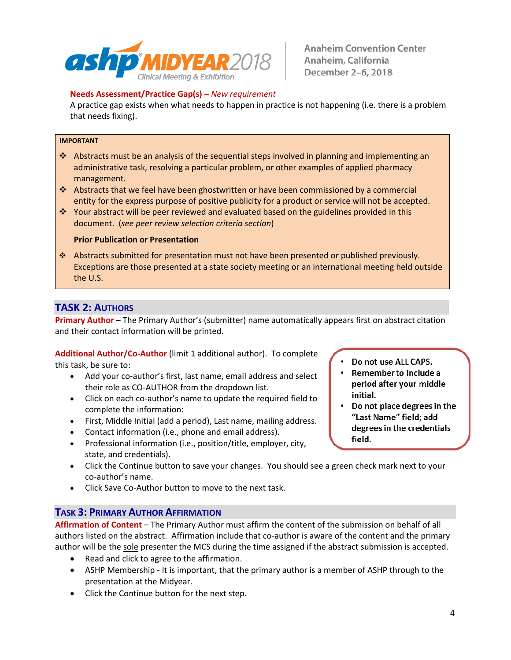

## **Needs Assessment/Practice Gap(s) –** *New requirement*

A practice gap exists when what needs to happen in practice is not happening (i.e. there is a problem that needs fixing).

#### **IMPORTANT**

- Abstracts must be an analysis of the sequential steps involved in planning and implementing an administrative task, resolving a particular problem, or other examples of applied pharmacy management.
- Abstracts that we feel have been ghostwritten or have been commissioned by a commercial entity for the express purpose of positive publicity for a product or service will not be accepted.
- Your abstract will be peer reviewed and evaluated based on the guidelines provided in this document. (*see peer review selection criteria section*)

#### **Prior Publication or Presentation**

 Abstracts submitted for presentation must not have been presented or published previously. Exceptions are those presented at a state society meeting or an international meeting held outside the U.S.

# **TASK 2: AUTHORS**

**Primary Author** – The Primary Author's (submitter) name automatically appears first on abstract citation and their contact information will be printed.

**Additional Author/Co-Author** (limit 1 additional author). To complete this task, be sure to:

- Add your co-author's first, last name, email address and select their role as CO-AUTHOR from the dropdown list.
- Click on each co-author's name to update the required field to complete the information:
- First, Middle Initial (add a period), Last name, mailing address.
- Contact information (i.e., phone and email address).
- Professional information (i.e., position/title, employer, city, state, and credentials).
- Click the Continue button to save your changes. You should see a green check mark next to your co-author's name.
- Click Save Co-Author button to move to the next task.

### **TASK 3: PRIMARY AUTHOR AFFIRMATION**

**Affirmation of Content** – The Primary Author must affirm the content of the submission on behalf of all authors listed on the abstract. Affirmation include that co-author is aware of the content and the primary author will be the sole presenter the MCS during the time assigned if the abstract submission is accepted.

- Read and click to agree to the affirmation.
- ASHP Membership It is important, that the primary author is a member of ASHP through to the presentation at the Midyear.
- Click the Continue button for the next step.
- Do not use ALL CAPS.
- Remember to include a period after your middle initial.
- Do not place degrees in the "Last Name" field; add degrees in the credentials field.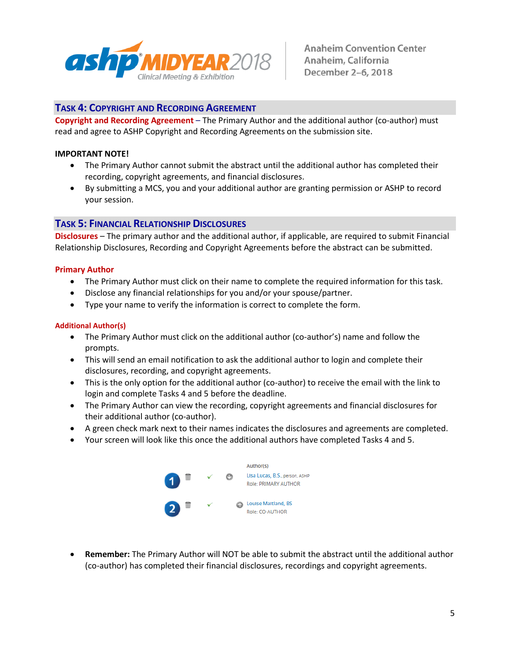

# **TASK 4: COPYRIGHT AND RECORDING AGREEMENT**

**Copyright and Recording Agreement** – The Primary Author and the additional author (co-author) must read and agree to ASHP Copyright and Recording Agreements on the submission site.

#### **IMPORTANT NOTE!**

- The Primary Author cannot submit the abstract until the additional author has completed their recording, copyright agreements, and financial disclosures.
- By submitting a MCS, you and your additional author are granting permission or ASHP to record your session.

### **TASK 5: FINANCIAL RELATIONSHIP DISCLOSURES**

**Disclosures** – The primary author and the additional author, if applicable, are required to submit Financial Relationship Disclosures, Recording and Copyright Agreements before the abstract can be submitted.

#### **Primary Author**

- The Primary Author must click on their name to complete the required information for this task.
- Disclose any financial relationships for you and/or your spouse/partner.
- Type your name to verify the information is correct to complete the form.

#### **Additional Author(s)**

- The Primary Author must click on the additional author (co-author's) name and follow the prompts.
- This will send an email notification to ask the additional author to login and complete their disclosures, recording, and copyright agreements.
- This is the only option for the additional author (co-author) to receive the email with the link to login and complete Tasks 4 and 5 before the deadline.
- The Primary Author can view the recording, copyright agreements and financial disclosures for their additional author (co-author).
- A green check mark next to their names indicates the disclosures and agreements are completed.
- Your screen will look like this once the additional authors have completed Tasks 4 and 5.



• **Remember:** The Primary Author will NOT be able to submit the abstract until the additional author (co-author) has completed their financial disclosures, recordings and copyright agreements.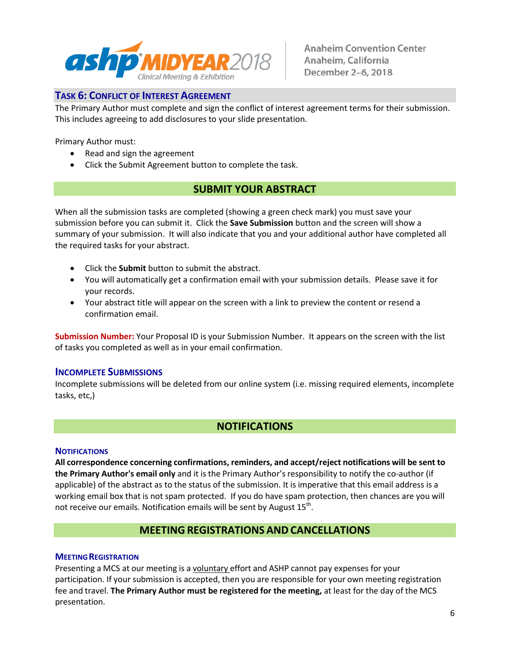

# **TASK 6: CONFLICT OF INTEREST AGREEMENT**

The Primary Author must complete and sign the conflict of interest agreement terms for their submission. This includes agreeing to add disclosures to your slide presentation.

Primary Author must:

- Read and sign the agreement
- Click the Submit Agreement button to complete the task.

# **SUBMIT YOUR ABSTRACT**

When all the submission tasks are completed (showing a green check mark) you must save your submission before you can submit it. Click the **Save Submission** button and the screen will show a summary of your submission. It will also indicate that you and your additional author have completed all the required tasks for your abstract.

- Click the **Submit** button to submit the abstract.
- You will automatically get a confirmation email with your submission details. Please save it for your records.
- Your abstract title will appear on the screen with a link to preview the content or resend a confirmation email.

**Submission Number:** Your Proposal ID is your Submission Number. It appears on the screen with the list of tasks you completed as well as in your email confirmation.

### **INCOMPLETE SUBMISSIONS**

Incomplete submissions will be deleted from our online system (i.e. missing required elements, incomplete tasks, etc,)

# **NOTIFICATIONS**

### **NOTIFICATIONS**

**All correspondence concerning confirmations, reminders, and accept/reject notifications will be sent to the Primary Author's email only** and it is the Primary Author's responsibility to notify the co-author (if applicable) of the abstract as to the status of the submission. It is imperative that this email address is a working email box that is not spam protected. If you do have spam protection, then chances are you will not receive our emails. Notification emails will be sent by August  $15<sup>th</sup>$ .

# **MEETING REGISTRATIONS AND CANCELLATIONS**

### **MEETING REGISTRATION**

Presenting a MCS at our meeting is a voluntary effort and ASHP cannot pay expenses for your participation. If your submission is accepted, then you are responsible for your own meeting registration fee and travel. **The Primary Author must be registered for the meeting,** at least for the day of the MCS presentation.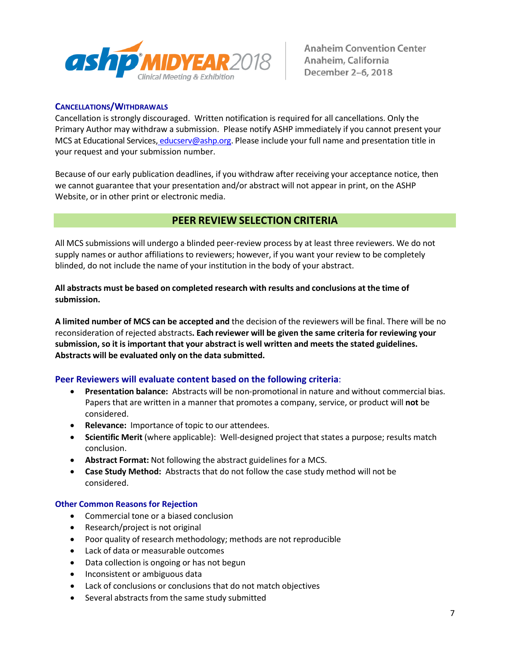

### **CANCELLATIONS/WITHDRAWALS**

Cancellation is strongly discouraged. Written notification is required for all cancellations. Only the Primary Author may withdraw a submission. Please notify ASHP immediately if you cannot present your MCS at Educational Services, [educserv@ashp.org.](mailto:educserv@ashp.org) Please include your full name and presentation title in your request and your submission number.

Because of our early publication deadlines, if you withdraw after receiving your acceptance notice, then we cannot guarantee that your presentation and/or abstract will not appear in print, on the ASHP Website, or in other print or electronic media.

# **PEER REVIEW SELECTION CRITERIA**

All MCS submissions will undergo a blinded peer‐review process by at least three reviewers. We do not supply names or author affiliations to reviewers; however, if you want your review to be completely blinded, do not include the name of your institution in the body of your abstract.

**All abstracts must be based on completed research with results and conclusions at the time of submission.**

**A limited number of MCS can be accepted and** the decision of the reviewers will be final. There will be no reconsideration of rejected abstracts**. Each reviewer will be given the same criteria for reviewing your submission, so it is important that your abstract is well written and meets the stated guidelines. Abstracts will be evaluated only on the data submitted.**

### **Peer Reviewers will evaluate content based on the following criteria**:

- **Presentation balance:** Abstracts will be non‐promotional in nature and without commercial bias. Papers that are written in a manner that promotes a company, service, or product will **not** be considered.
- **Relevance:** Importance of topic to our attendees.
- **Scientific Merit** (where applicable): Well‐designed project that states a purpose; results match conclusion.
- **Abstract Format:** Not following the abstract guidelines for a MCS.
- **Case Study Method:** Abstracts that do not follow the case study method will not be considered.

### **Other Common Reasons for Rejection**

- Commercial tone or a biased conclusion
- Research/project is not original
- Poor quality of research methodology; methods are not reproducible
- Lack of data or measurable outcomes
- Data collection is ongoing or has not begun
- Inconsistent or ambiguous data
- Lack of conclusions or conclusions that do not match objectives
- Several abstracts from the same study submitted